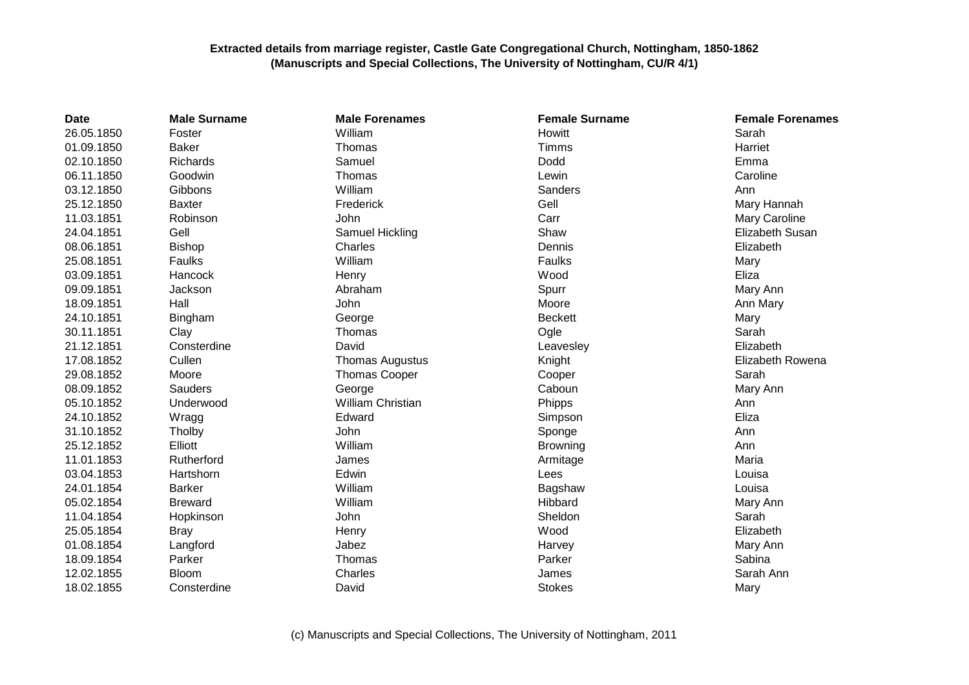## **Extracted details from marriage register, Castle Gate Congregational Church, Nottingham, 1850-1862 (Manuscripts and Special Collections, The University of Nottingham, CU/R 4/1)**

| <b>Date</b> | <b>Male Surname</b> | <b>Male Forenames</b>  | <b>Female Surname</b> | <b>Female Forenames</b> |
|-------------|---------------------|------------------------|-----------------------|-------------------------|
| 26.05.1850  | Foster              | William                | Howitt                | Sarah                   |
| 01.09.1850  | <b>Baker</b>        | Thomas                 | Timms                 | Harriet                 |
| 02.10.1850  | Richards            | Samuel                 | Dodd                  | Emma                    |
| 06.11.1850  | Goodwin             | Thomas                 | Lewin                 | Caroline                |
| 03.12.1850  | Gibbons             | William                | Sanders               | Ann                     |
| 25.12.1850  | <b>Baxter</b>       | Frederick              | Gell                  | Mary Hannah             |
| 11.03.1851  | Robinson            | John                   | Carr                  | Mary Caroline           |
| 24.04.1851  | Gell                | Samuel Hickling        | Shaw                  | Elizabeth Susan         |
| 08.06.1851  | <b>Bishop</b>       | Charles                | Dennis                | Elizabeth               |
| 25.08.1851  | Faulks              | William                | Faulks                | Mary                    |
| 03.09.1851  | <b>Hancock</b>      | Henry                  | Wood                  | Eliza                   |
| 09.09.1851  | Jackson             | Abraham                | Spurr                 | Mary Ann                |
| 18.09.1851  | Hall                | John                   | Moore                 | Ann Mary                |
| 24.10.1851  | Bingham             | George                 | <b>Beckett</b>        | Mary                    |
| 30.11.1851  | Clay                | Thomas                 | Ogle                  | Sarah                   |
| 21.12.1851  | Consterdine         | David                  | Leavesley             | Elizabeth               |
| 17.08.1852  | Cullen              | <b>Thomas Augustus</b> | Knight                | Elizabeth Rowena        |
| 29.08.1852  | Moore               | <b>Thomas Cooper</b>   | Cooper                | Sarah                   |
| 08.09.1852  | <b>Sauders</b>      | George                 | Caboun                | Mary Ann                |
| 05.10.1852  | Underwood           | William Christian      | Phipps                | Ann                     |
| 24.10.1852  | Wragg               | Edward                 | Simpson               | Eliza                   |
| 31.10.1852  | Tholby              | John                   | Sponge                | Ann                     |
| 25.12.1852  | Elliott             | William                | <b>Browning</b>       | Ann                     |
| 11.01.1853  | Rutherford          | James                  | Armitage              | Maria                   |
| 03.04.1853  | Hartshorn           | Edwin                  | Lees                  | Louisa                  |
| 24.01.1854  | <b>Barker</b>       | William                | Bagshaw               | Louisa                  |
| 05.02.1854  | <b>Breward</b>      | William                | Hibbard               | Mary Ann                |
| 11.04.1854  | Hopkinson           | John                   | Sheldon               | Sarah                   |
| 25.05.1854  | <b>Bray</b>         | Henry                  | Wood                  | Elizabeth               |
| 01.08.1854  | Langford            | Jabez                  | Harvey                | Mary Ann                |
| 18.09.1854  | Parker              | Thomas                 | Parker                | Sabina                  |
| 12.02.1855  | <b>Bloom</b>        | Charles                | James                 | Sarah Ann               |
| 18.02.1855  | Consterdine         | David                  | <b>Stokes</b>         | Mary                    |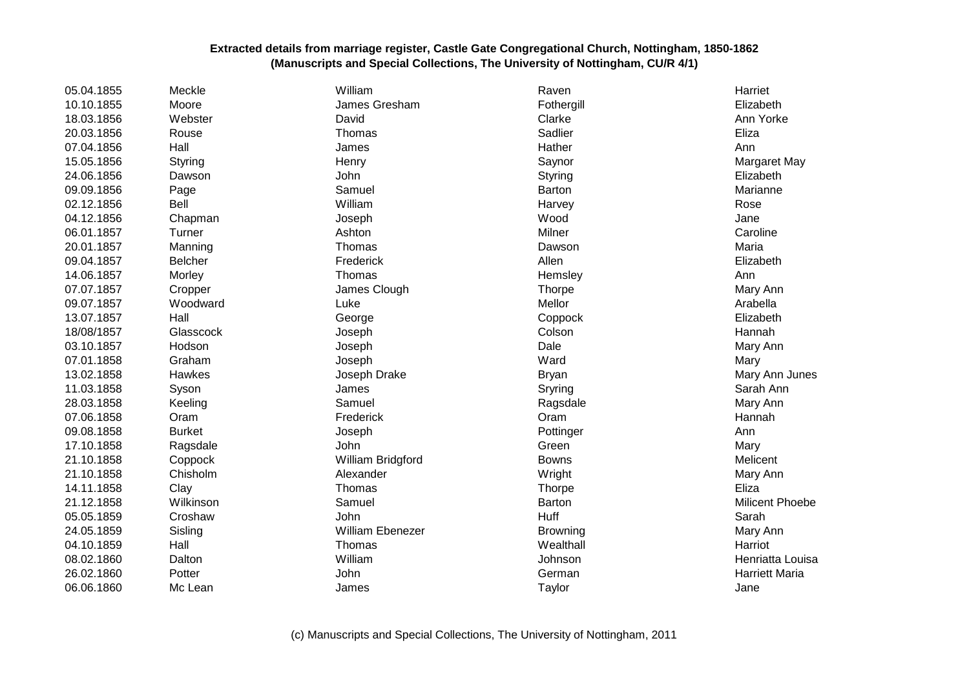## **Extracted details from marriage register, Castle Gate Congregational Church, Nottingham, 1850-1862 (Manuscripts and Special Collections, The University of Nottingham, CU/R 4/1)**

| 05.04.1855 | Meckle         | William                 | Raven         | Harriet               |
|------------|----------------|-------------------------|---------------|-----------------------|
| 10.10.1855 | Moore          | James Gresham           | Fothergill    | Elizabeth             |
| 18.03.1856 | Webster        | David                   | Clarke        | Ann Yorke             |
| 20.03.1856 | Rouse          | Thomas                  | Sadlier       | Eliza                 |
| 07.04.1856 | Hall           | James                   | Hather        | Ann                   |
| 15.05.1856 | Styring        | Henry                   | Saynor        | Margaret May          |
| 24.06.1856 | Dawson         | John                    | Styring       | Elizabeth             |
| 09.09.1856 | Page           | Samuel                  | <b>Barton</b> | Marianne              |
| 02.12.1856 | Bell           | William                 | Harvey        | Rose                  |
| 04.12.1856 | Chapman        | Joseph                  | Wood          | Jane                  |
| 06.01.1857 | Turner         | Ashton                  | Milner        | Caroline              |
| 20.01.1857 | Manning        | Thomas                  | Dawson        | Maria                 |
| 09.04.1857 | <b>Belcher</b> | Frederick               | Allen         | Elizabeth             |
| 14.06.1857 | Morley         | Thomas                  | Hemsley       | Ann                   |
| 07.07.1857 | Cropper        | James Clough            | Thorpe        | Mary Ann              |
| 09.07.1857 | Woodward       | Luke                    | Mellor        | Arabella              |
| 13.07.1857 | Hall           | George                  | Coppock       | Elizabeth             |
| 18/08/1857 | Glasscock      | Joseph                  | Colson        | Hannah                |
| 03.10.1857 | Hodson         | Joseph                  | Dale          | Mary Ann              |
| 07.01.1858 | Graham         | Joseph                  | Ward          | Mary                  |
| 13.02.1858 | Hawkes         | Joseph Drake            | <b>Bryan</b>  | Mary Ann Junes        |
| 11.03.1858 | Syson          | James                   | Sryring       | Sarah Ann             |
| 28.03.1858 | Keeling        | Samuel                  | Ragsdale      | Mary Ann              |
| 07.06.1858 | Oram           | Frederick               | Oram          | Hannah                |
| 09.08.1858 | <b>Burket</b>  | Joseph                  | Pottinger     | Ann                   |
| 17.10.1858 | Ragsdale       | John                    | Green         | Mary                  |
| 21.10.1858 | Coppock        | William Bridgford       | <b>Bowns</b>  | Melicent              |
| 21.10.1858 | Chisholm       | Alexander               | Wright        | Mary Ann              |
| 14.11.1858 | Clay           | Thomas                  | <b>Thorpe</b> | Eliza                 |
| 21.12.1858 | Wilkinson      | Samuel                  | Barton        | Milicent Phoebe       |
| 05.05.1859 | Croshaw        | John                    | Huff          | Sarah                 |
| 24.05.1859 | Sisling        | <b>William Ebenezer</b> | Browning      | Mary Ann              |
| 04.10.1859 | Hall           | Thomas                  | Wealthall     | Harriot               |
| 08.02.1860 | Dalton         | William                 | Johnson       | Henriatta Louisa      |
| 26.02.1860 | Potter         | John                    | German        | <b>Harriett Maria</b> |
| 06.06.1860 | Mc Lean        | James                   | Taylor        | Jane                  |
|            |                |                         |               |                       |